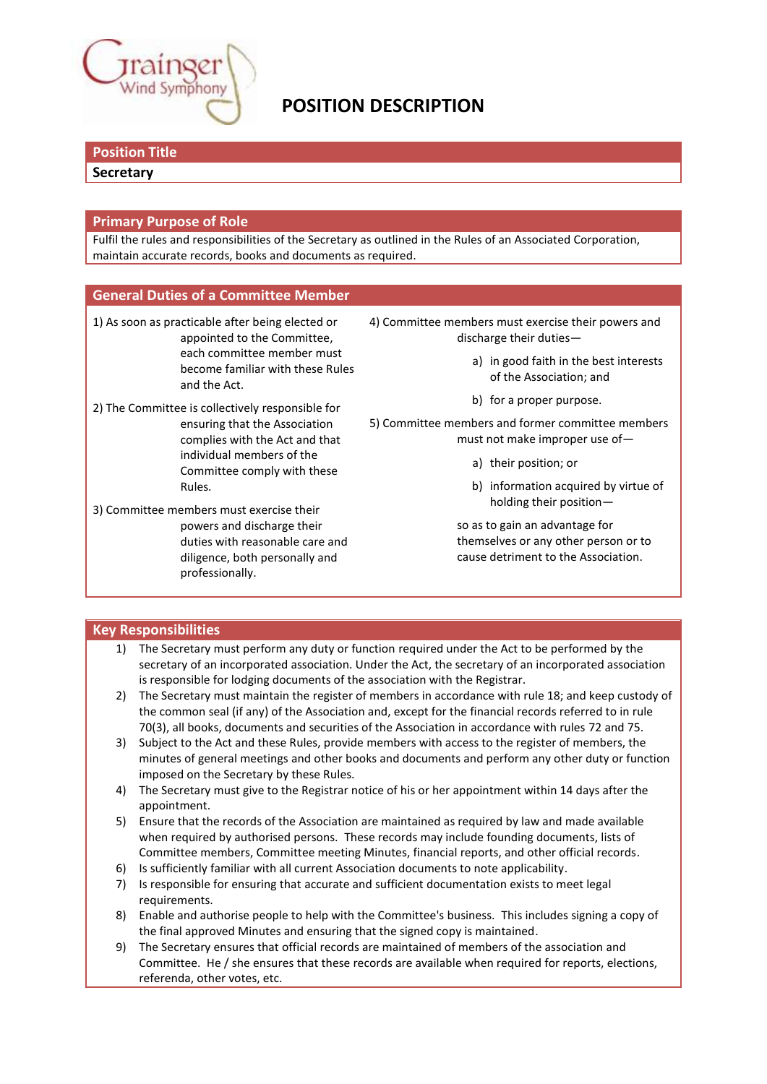

# **POSITION DESCRIPTION**

# **Position Title**

#### **Secretary**

#### **Primary Purpose of Role**

Fulfil the rules and responsibilities of the Secretary as outlined in the Rules of an Associated Corporation, maintain accurate records, books and documents as required.

## **General Duties of a Committee Member**

- 1) As soon as practicable after being elected or appointed to the Committee, each committee member must become familiar with these Rules and the Act.
- 2) The Committee is collectively responsible for ensuring that the Association complies with the Act and that individual members of the Committee comply with these Rules.
- 3) Committee members must exercise their powers and discharge their duties with reasonable care and diligence, both personally and professionally.
- 4) Committee members must exercise their powers and discharge their duties
	- a) in good faith in the best interests of the Association; and
	- b) for a proper purpose.
- 5) Committee members and former committee members must not make improper use of
	- a) their position; or
	- b) information acquired by virtue of holding their position—

so as to gain an advantage for themselves or any other person or to cause detriment to the Association.

# **Key Responsibilities**

- 1) The Secretary must perform any duty or function required under the Act to be performed by the secretary of an incorporated association. Under the Act, the secretary of an incorporated association is responsible for lodging documents of the association with the Registrar.
- 2) The Secretary must maintain the register of members in accordance with rule 18; and keep custody of the common seal (if any) of the Association and, except for the financial records referred to in rule 70(3), all books, documents and securities of the Association in accordance with rules 72 and 75.
- 3) Subject to the Act and these Rules, provide members with access to the register of members, the minutes of general meetings and other books and documents and perform any other duty or function imposed on the Secretary by these Rules.
- 4) The Secretary must give to the Registrar notice of his or her appointment within 14 days after the appointment.
- 5) Ensure that the records of the Association are maintained as required by law and made available when required by authorised persons. These records may include founding documents, lists of Committee members, Committee meeting Minutes, financial reports, and other official records.
- 6) Is sufficiently familiar with all current Association documents to note applicability.
- 7) Is responsible for ensuring that accurate and sufficient documentation exists to meet legal requirements.
- 8) Enable and authorise people to help with the Committee's business. This includes signing a copy of the final approved Minutes and ensuring that the signed copy is maintained.
- 9) The Secretary ensures that official records are maintained of members of the association and Committee. He / she ensures that these records are available when required for reports, elections, referenda, other votes, etc.